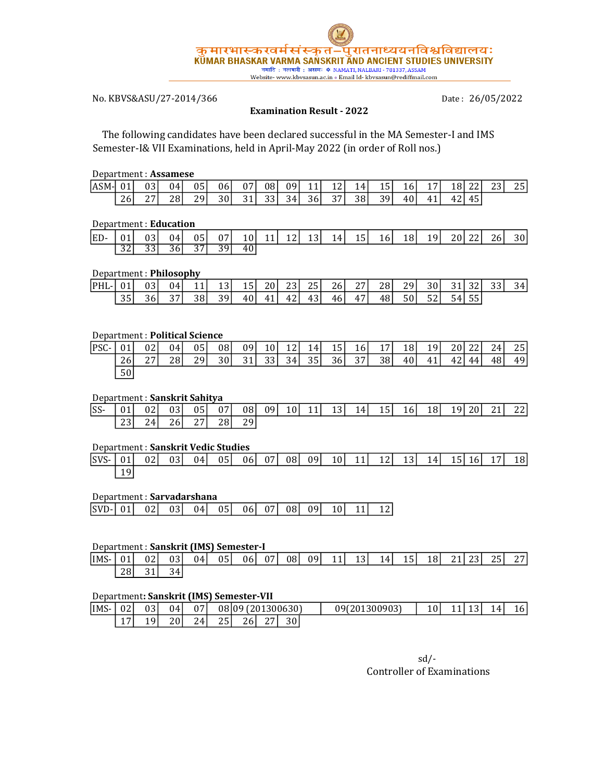

# No. KBVS&ASU/27-2014/366

Date: 26/05/2022

### Examination Result - 2022

 The following candidates have been declared successful in the MA Semester-I and IMS Semester-I& VII Examinations, held in April-May 2022 (in order of Roll nos.)

### Department : Assamese

| lASM-l | $\sim$ | 03                | 04 | 05              | 06 | Ω7          | 08 | n۹  | - 4         | $\sim$<br>--  | 4<br>- | -<br>5<br>ᆂ | 10 <sup>1</sup> | <b>.</b>       | ⊥8.          | ~~<br><u>_ _</u> | $\sim$<br>ر ت | $\sim$ $-1$<br>ົ້ |
|--------|--------|-------------------|----|-----------------|----|-------------|----|-----|-------------|---------------|--------|-------------|-----------------|----------------|--------------|------------------|---------------|-------------------|
|        | 26     | $\mathbf{z}$<br>∼ | 28 | 20 <sub>1</sub> | 30 | $\sim$<br>ັ |    | 34. | n c<br>∍0 ل | $\sim$ $\sim$ | 38     | 39.<br>ັ    | 40              | . .<br>4<br>тı | $\sim$<br>IΔ | ィヒ<br>τJ         |               |                   |

### Department : Education

| ED- | 01              | 031             | 04              |      | 05 07 |    |  | $10 \begin{array}{ c c c c c c } \hline 11 & 12 & 13 & 14 & 15 \end{array}$ | 16 <sup>-1</sup> | 18 <sup>1</sup> | 19 <sup>1</sup> | 20 22 | 26 <sup>-1</sup> | 30 <sup>1</sup> |
|-----|-----------------|-----------------|-----------------|------|-------|----|--|-----------------------------------------------------------------------------|------------------|-----------------|-----------------|-------|------------------|-----------------|
|     | $\overline{32}$ | 33 <sup>1</sup> | 36 <sup>T</sup> | 37 I | 39 I  | 40 |  |                                                                             |                  |                 |                 |       |                  |                 |

### Department : Philosophy

| PHL- | 01'             | 03 I | 04 |    | 131. | ולד  | 20 l      | 23I | 25 I | 26 l | 27 I | 28  | 29   | 30 I |    | $\sim$ $\sim$ | 331 | 34 I |
|------|-----------------|------|----|----|------|------|-----------|-----|------|------|------|-----|------|------|----|---------------|-----|------|
|      | 35 <sup>1</sup> | 36   | 37 | 38 | 39   | 40 I | 41<br>. . | 42  | 431  | 46 I | 47'  | 481 | 50 l | 521  | 54 | 55            |     |      |

### Department : Political Science

| PSC- | 01 <sup>1</sup> | 02 <sub>l</sub> | 04 <sub>1</sub> | 05 <sup>1</sup> | 08   | 09 | 10 <sup>1</sup> | 12 | 14 <sup> </sup> | 15 <sup>1</sup> | <b>16</b> | 17 <sup>1</sup> | 18 <sup>1</sup> | 19 <sup>1</sup> | 20 | 22 | 24 | 25 |
|------|-----------------|-----------------|-----------------|-----------------|------|----|-----------------|----|-----------------|-----------------|-----------|-----------------|-----------------|-----------------|----|----|----|----|
|      | 26              | つワ              | 28 I            | 29 I            | 30 I | 31 | 33              | 34 | 35              | 36 <sup> </sup> | 37        | 38              | 40              | 41              | 42 | 44 | 48 | 49 |
|      | 50              |                 |                 |                 |      |    |                 |    |                 |                 |           |                 |                 |                 |    |    |    |    |

### Department : Sanskrit Sahitya

| $ SS-$ | 01 | 02 | 03 <sup>1</sup> | 05 <sub>1</sub> | 07  | 081             | 09 | 10 <sup> </sup> | 11 <sup>1</sup> | 13 l | 14 <sup> </sup> | 15 I | <b>16</b> | 18 I | 19 I<br>-- | 20 <sup> </sup> | 211 | 22 <sub>l</sub> |
|--------|----|----|-----------------|-----------------|-----|-----------------|----|-----------------|-----------------|------|-----------------|------|-----------|------|------------|-----------------|-----|-----------------|
|        | 23 | 24 | 26 I            | 271<br>ـ د      | 28I | 291<br><u>.</u> |    |                 |                 |      |                 |      |           |      |            |                 |     |                 |

### Department : Sanskrit Vedic Studies

| $ SVS-$ 01 |    | 021 | 03 <sup>1</sup> | 04 | 051 | 061 | 07 08 09 |  | 10 11 | 121 | 13 <sup>1</sup> | 14 | 15   16 | 17 <sup>1</sup> | 18 <sup>1</sup> |
|------------|----|-----|-----------------|----|-----|-----|----------|--|-------|-----|-----------------|----|---------|-----------------|-----------------|
|            | 19 |     |                 |    |     |     |          |  |       |     |                 |    |         |                 |                 |

#### Department : Sarvadarshana

### Department : Sanskrit (IMS) Semester-I

| IMS- | 01 | n n<br>UΖ | 03                 | 04 <sub>1</sub> | 05 | 061 | 07 | 08 | 091 | $\overline{A}$<br>-- | $\sim$<br>⊥ ت | 14I | $\rightarrow$ $\rightarrow$<br>∶ 5⊥ | 18 <sup>1</sup> | $\sim$<br>41 | $\sim$ $\sim$<br>້ | つに<br>2 J | つワー<br>▵ |
|------|----|-----------|--------------------|-----------------|----|-----|----|----|-----|----------------------|---------------|-----|-------------------------------------|-----------------|--------------|--------------------|-----------|----------|
|      | 28 | 31        | $\sim$<br>łД<br>JΤ |                 |    |     |    |    |     |                      |               |     |                                     |                 |              |                    |           |          |

### Department: Sanskrit (IMS) Semester-VII

| lims- | 021                   | 03      | 04 | 07       | 08109                 | (201300630) |               |                 |  | 09(201300903) | 10 | . . | ∸ | 14 <sub>1</sub> | 10' |
|-------|-----------------------|---------|----|----------|-----------------------|-------------|---------------|-----------------|--|---------------|----|-----|---|-----------------|-----|
|       | $\overline{ }$<br>. . | 19<br>ᅩ | 20 | 24.<br>∼ | $\sim$ $\sim$<br>5۶۱. | 26          | $\sim$<br>، ، | 30 <sub>1</sub> |  |               |    |     |   |                 |     |

sd/- Controller of Examinations